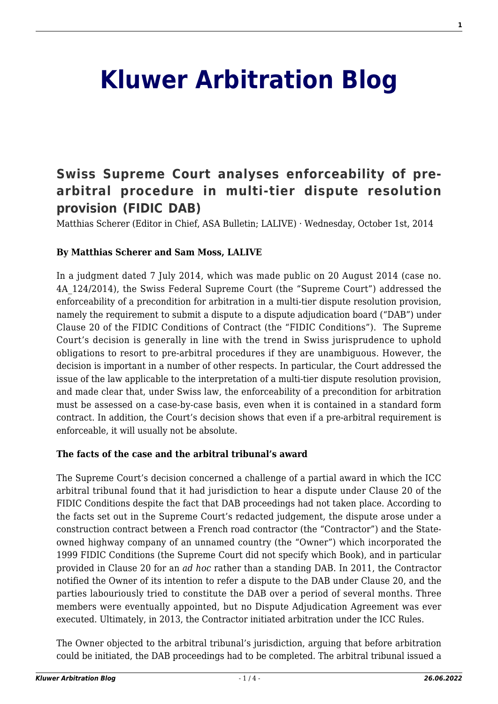# **[Kluwer Arbitration Blog](http://arbitrationblog.kluwerarbitration.com/)**

# **[Swiss Supreme Court analyses enforceability of pre](http://arbitrationblog.kluwerarbitration.com/2014/10/01/swiss-supreme-court-analyses-enforceability-of-pre-arbitral-procedure-in-multi-tier-dispute-resolution-provision-fidic-dab/)[arbitral procedure in multi-tier dispute resolution](http://arbitrationblog.kluwerarbitration.com/2014/10/01/swiss-supreme-court-analyses-enforceability-of-pre-arbitral-procedure-in-multi-tier-dispute-resolution-provision-fidic-dab/) [provision \(FIDIC DAB\)](http://arbitrationblog.kluwerarbitration.com/2014/10/01/swiss-supreme-court-analyses-enforceability-of-pre-arbitral-procedure-in-multi-tier-dispute-resolution-provision-fidic-dab/)**

Matthias Scherer (Editor in Chief, ASA Bulletin; LALIVE) · Wednesday, October 1st, 2014

#### **By Matthias Scherer and Sam Moss, LALIVE**

In a judgment dated 7 July 2014, which was made public on 20 August 2014 (case no. 4A\_124/2014), the Swiss Federal Supreme Court (the "Supreme Court") addressed the enforceability of a precondition for arbitration in a multi-tier dispute resolution provision, namely the requirement to submit a dispute to a dispute adjudication board ("DAB") under Clause 20 of the FIDIC Conditions of Contract (the "FIDIC Conditions"). The Supreme Court's decision is generally in line with the trend in Swiss jurisprudence to uphold obligations to resort to pre-arbitral procedures if they are unambiguous. However, the decision is important in a number of other respects. In particular, the Court addressed the issue of the law applicable to the interpretation of a multi-tier dispute resolution provision, and made clear that, under Swiss law, the enforceability of a precondition for arbitration must be assessed on a case-by-case basis, even when it is contained in a standard form contract. In addition, the Court's decision shows that even if a pre-arbitral requirement is enforceable, it will usually not be absolute.

#### **The facts of the case and the arbitral tribunal's award**

The Supreme Court's decision concerned a challenge of a partial award in which the ICC arbitral tribunal found that it had jurisdiction to hear a dispute under Clause 20 of the FIDIC Conditions despite the fact that DAB proceedings had not taken place. According to the facts set out in the Supreme Court's redacted judgement, the dispute arose under a construction contract between a French road contractor (the "Contractor") and the Stateowned highway company of an unnamed country (the "Owner") which incorporated the 1999 FIDIC Conditions (the Supreme Court did not specify which Book), and in particular provided in Clause 20 for an *ad hoc* rather than a standing DAB. In 2011, the Contractor notified the Owner of its intention to refer a dispute to the DAB under Clause 20, and the parties labouriously tried to constitute the DAB over a period of several months. Three members were eventually appointed, but no Dispute Adjudication Agreement was ever executed. Ultimately, in 2013, the Contractor initiated arbitration under the ICC Rules.

The Owner objected to the arbitral tribunal's jurisdiction, arguing that before arbitration could be initiated, the DAB proceedings had to be completed. The arbitral tribunal issued a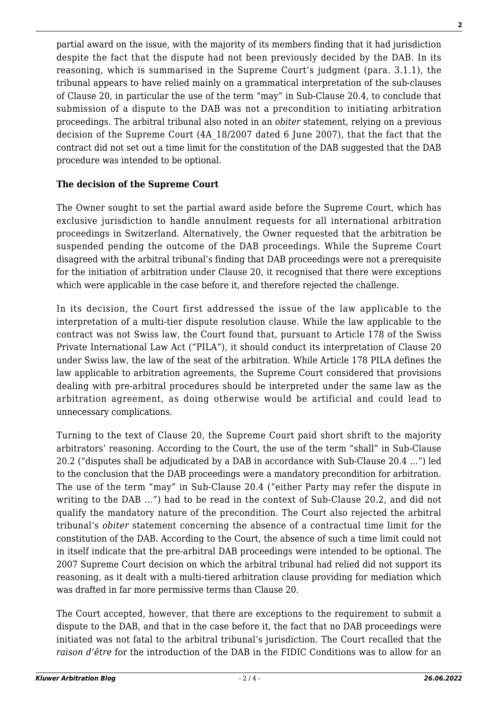partial award on the issue, with the majority of its members finding that it had jurisdiction despite the fact that the dispute had not been previously decided by the DAB. In its reasoning, which is summarised in the Supreme Court's judgment (para. 3.1.1), the tribunal appears to have relied mainly on a grammatical interpretation of the sub-clauses of Clause 20, in particular the use of the term "may" in Sub-Clause 20.4, to conclude that submission of a dispute to the DAB was not a precondition to initiating arbitration proceedings. The arbitral tribunal also noted in an *obiter* statement, relying on a previous decision of the Supreme Court (4A\_18/2007 dated 6 June 2007), that the fact that the contract did not set out a time limit for the constitution of the DAB suggested that the DAB procedure was intended to be optional.

## **The decision of the Supreme Court**

The Owner sought to set the partial award aside before the Supreme Court, which has exclusive jurisdiction to handle annulment requests for all international arbitration proceedings in Switzerland. Alternatively, the Owner requested that the arbitration be suspended pending the outcome of the DAB proceedings. While the Supreme Court disagreed with the arbitral tribunal's finding that DAB proceedings were not a prerequisite for the initiation of arbitration under Clause 20, it recognised that there were exceptions which were applicable in the case before it, and therefore rejected the challenge.

In its decision, the Court first addressed the issue of the law applicable to the interpretation of a multi-tier dispute resolution clause. While the law applicable to the contract was not Swiss law, the Court found that, pursuant to Article 178 of the Swiss Private International Law Act ("PILA"), it should conduct its interpretation of Clause 20 under Swiss law, the law of the seat of the arbitration. While Article 178 PILA defines the law applicable to arbitration agreements, the Supreme Court considered that provisions dealing with pre-arbitral procedures should be interpreted under the same law as the arbitration agreement, as doing otherwise would be artificial and could lead to unnecessary complications.

Turning to the text of Clause 20, the Supreme Court paid short shrift to the majority arbitrators' reasoning. According to the Court, the use of the term "shall" in Sub-Clause 20.2 ("disputes shall be adjudicated by a DAB in accordance with Sub-Clause 20.4 …") led to the conclusion that the DAB proceedings were a mandatory precondition for arbitration. The use of the term "may" in Sub-Clause 20.4 ("either Party may refer the dispute in writing to the DAB …") had to be read in the context of Sub-Clause 20.2, and did not qualify the mandatory nature of the precondition. The Court also rejected the arbitral tribunal's *obiter* statement concerning the absence of a contractual time limit for the constitution of the DAB. According to the Court, the absence of such a time limit could not in itself indicate that the pre-arbitral DAB proceedings were intended to be optional. The 2007 Supreme Court decision on which the arbitral tribunal had relied did not support its reasoning, as it dealt with a multi-tiered arbitration clause providing for mediation which was drafted in far more permissive terms than Clause 20.

The Court accepted, however, that there are exceptions to the requirement to submit a dispute to the DAB, and that in the case before it, the fact that no DAB proceedings were initiated was not fatal to the arbitral tribunal's jurisdiction. The Court recalled that the *raison d'être* for the introduction of the DAB in the FIDIC Conditions was to allow for an

**2**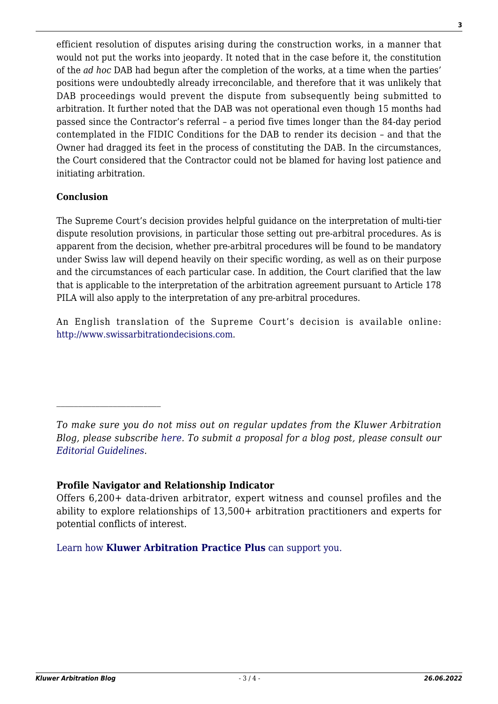efficient resolution of disputes arising during the construction works, in a manner that would not put the works into jeopardy. It noted that in the case before it, the constitution of the *ad hoc* DAB had begun after the completion of the works, at a time when the parties' positions were undoubtedly already irreconcilable, and therefore that it was unlikely that DAB proceedings would prevent the dispute from subsequently being submitted to arbitration. It further noted that the DAB was not operational even though 15 months had passed since the Contractor's referral – a period five times longer than the 84-day period contemplated in the FIDIC Conditions for the DAB to render its decision – and that the Owner had dragged its feet in the process of constituting the DAB. In the circumstances, the Court considered that the Contractor could not be blamed for having lost patience and initiating arbitration.

## **Conclusion**

The Supreme Court's decision provides helpful guidance on the interpretation of multi-tier dispute resolution provisions, in particular those setting out pre-arbitral procedures. As is apparent from the decision, whether pre-arbitral procedures will be found to be mandatory under Swiss law will depend heavily on their specific wording, as well as on their purpose and the circumstances of each particular case. In addition, the Court clarified that the law that is applicable to the interpretation of the arbitration agreement pursuant to Article 178 PILA will also apply to the interpretation of any pre-arbitral procedures.

An English translation of the Supreme Court's decision is available online: <http://www.swissarbitrationdecisions.com>.

[Learn how](https://www.wolterskluwer.com/en/solutions/kluwerarbitration/practiceplus?utm_source=arbitrationblog&utm_medium=articleCTA&utm_campaign=article-banner) **[Kluwer Arbitration Practice Plus](https://www.wolterskluwer.com/en/solutions/kluwerarbitration/practiceplus?utm_source=arbitrationblog&utm_medium=articleCTA&utm_campaign=article-banner)** [can support you.](https://www.wolterskluwer.com/en/solutions/kluwerarbitration/practiceplus?utm_source=arbitrationblog&utm_medium=articleCTA&utm_campaign=article-banner)

*To make sure you do not miss out on regular updates from the Kluwer Arbitration Blog, please subscribe [here](http://arbitrationblog.kluwerarbitration.com/newsletter/). To submit a proposal for a blog post, please consult our [Editorial Guidelines.](http://arbitrationblog.kluwerarbitration.com/editorial-guidelines/)*

**Profile Navigator and Relationship Indicator**

Offers 6,200+ data-driven arbitrator, expert witness and counsel profiles and the ability to explore relationships of 13,500+ arbitration practitioners and experts for potential conflicts of interest.